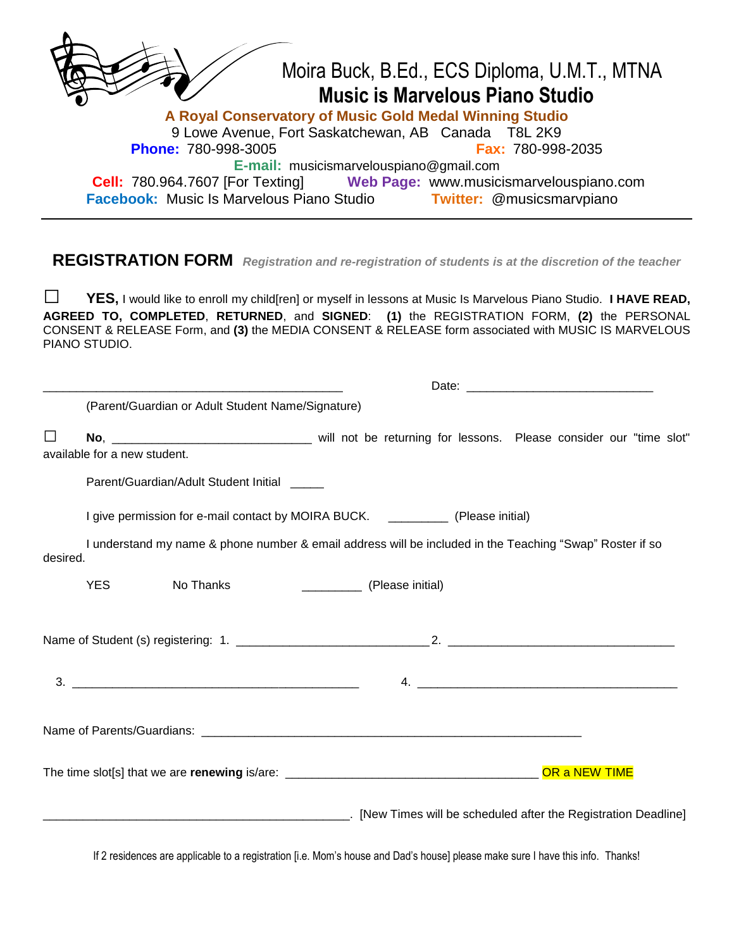|                                                                     | Moira Buck, B.Ed., ECS Diploma, U.M.T., MTNA |  |  |  |  |  |
|---------------------------------------------------------------------|----------------------------------------------|--|--|--|--|--|
| <b>Music is Marvelous Piano Studio</b>                              |                                              |  |  |  |  |  |
| A Royal Conservatory of Music Gold Medal Winning Studio             |                                              |  |  |  |  |  |
| 9 Lowe Avenue, Fort Saskatchewan, AB Canada T8L 2K9                 |                                              |  |  |  |  |  |
| <b>Phone: 780-998-3005</b>                                          | <b>Fax: 780-998-2035</b>                     |  |  |  |  |  |
| E-mail: musicismarvelouspiano@gmail.com                             |                                              |  |  |  |  |  |
| <b>Cell:</b> 780.964.7607 [For Texting]                             | Web Page: www.musicismarvelouspiano.com      |  |  |  |  |  |
| Facebook: Music Is Marvelous Piano Studio Twitter: @musicsmarvpiano |                                              |  |  |  |  |  |
|                                                                     |                                              |  |  |  |  |  |

## **REGISTRATION FORM** *Registration and re-registration of students is at the discretion of the teacher*

**□ YES,** I would like to enroll my child[ren] or myself in lessons at Music Is Marvelous Piano Studio. **I HAVE READ, AGREED TO, COMPLETED**, **RETURNED**, and **SIGNED**: **(1)** the REGISTRATION FORM, **(2)** the PERSONAL CONSENT & RELEASE Form, and **(3)** the MEDIA CONSENT & RELEASE form associated with MUSIC IS MARVELOUS PIANO STUDIO.

|          |                                                                                                          | (Parent/Guardian or Adult Student Name/Signature) |                                                                                                                            |  |  |  |  |  |
|----------|----------------------------------------------------------------------------------------------------------|---------------------------------------------------|----------------------------------------------------------------------------------------------------------------------------|--|--|--|--|--|
| $\Box$   | available for a new student.                                                                             |                                                   |                                                                                                                            |  |  |  |  |  |
|          |                                                                                                          | Parent/Guardian/Adult Student Initial             |                                                                                                                            |  |  |  |  |  |
|          | I give permission for e-mail contact by MOIRA BUCK. ___________ (Please initial)                         |                                                   |                                                                                                                            |  |  |  |  |  |
| desired. | I understand my name & phone number & email address will be included in the Teaching "Swap" Roster if so |                                                   |                                                                                                                            |  |  |  |  |  |
|          | <b>YES</b>                                                                                               | No Thanks                                         | (Please initial)                                                                                                           |  |  |  |  |  |
|          |                                                                                                          |                                                   |                                                                                                                            |  |  |  |  |  |
|          |                                                                                                          |                                                   | 4.                                                                                                                         |  |  |  |  |  |
|          |                                                                                                          |                                                   |                                                                                                                            |  |  |  |  |  |
|          |                                                                                                          |                                                   |                                                                                                                            |  |  |  |  |  |
|          |                                                                                                          |                                                   | [New Times will be scheduled after the Registration Deadline] [New Times will be scheduled after the Registration Deadline |  |  |  |  |  |
|          |                                                                                                          |                                                   |                                                                                                                            |  |  |  |  |  |

If 2 residences are applicable to a registration [i.e. Mom's house and Dad's house] please make sure I have this info. Thanks!